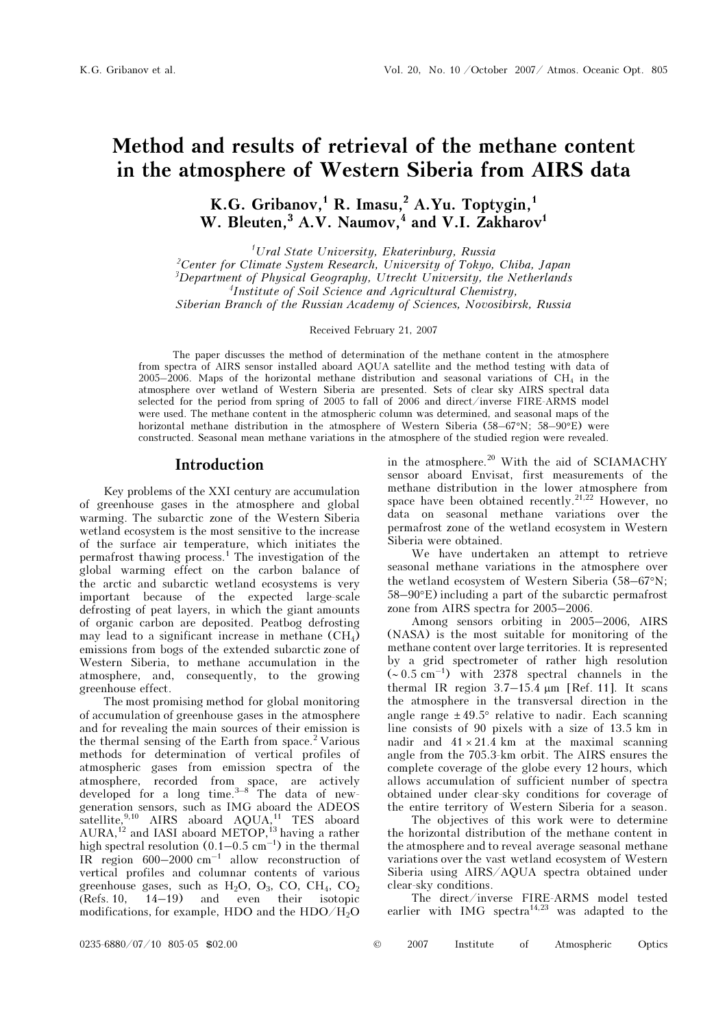# Method and results of retrieval of the methane content in the atmosphere of Western Siberia from AIRS data

K.G. Gribanov,<sup>1</sup> R. Imasu,<sup>2</sup> A.Yu. Toptygin,<sup>1</sup> W. Bleuten,<sup>3</sup> A.V. Naumov,<sup>4</sup> and V.I. Zakharov<sup>1</sup>

1 Ural State University, Ekaterinburg, Russia <sup>2</sup>Center for Climate System Research, University of Tokyo, Chiba, Japan  $3$ Department of Physical Geography, Utrecht University, the Netherlands 4 Institute of Soil Science and Agricultural Chemistry, Siberian Branch of the Russian Academy of Sciences, Novosibirsk, Russia

Received February 21, 2007

The paper discusses the method of determination of the methane content in the atmosphere from spectra of AIRS sensor installed aboard AQUA satellite and the method testing with data of 2005–2006. Maps of the horizontal methane distribution and seasonal variations of CH4 in the atmosphere over wetland of Western Siberia are presented. Sets of clear sky AIRS spectral data selected for the period from spring of 2005 to fall of 2006 and direct/inverse FIRE-ARMS model were used. The methane content in the atmospheric column was determined, and seasonal maps of the horizontal methane distribution in the atmosphere of Western Siberia (58–67°N; 58–90°E) were constructed. Seasonal mean methane variations in the atmosphere of the studied region were revealed.

## Introduction

Key problems of the XXI century are accumulation of greenhouse gases in the atmosphere and global warming. The subarctic zone of the Western Siberia wetland ecosystem is the most sensitive to the increase of the surface air temperature, which initiates the permafrost thawing process.<sup>1</sup> The investigation of the global warming effect on the carbon balance of the arctic and subarctic wetland ecosystems is very important because of the expected large-scale defrosting of peat layers, in which the giant amounts of organic carbon are deposited. Peatbog defrosting may lead to a significant increase in methane  $(CH_4)$ emissions from bogs of the extended subarctic zone of Western Siberia, to methane accumulation in the atmosphere, and, consequently, to the growing greenhouse effect.

The most promising method for global monitoring of accumulation of greenhouse gases in the atmosphere and for revealing the main sources of their emission is the thermal sensing of the Earth from space.<sup>2</sup> Various methods for determination of vertical profiles of atmospheric gases from emission spectra of the atmosphere, recorded from space, are actively developed for a long time. $3-8$  The data of newgeneration sensors, such as IMG aboard the ADEOS satellite,<sup>9,10</sup> AIRS aboard AQUA,<sup>11</sup> TES aboard  $AURA<sup>12</sup>$  and IASI aboard METOP,<sup>13</sup> having a rather high spectral resolution  $(0.1-0.5 \text{ cm}^{-1})$  in the thermal IR region  $600-2000$  cm<sup>-1</sup> allow reconstruction of vertical profiles and columnar contents of various greenhouse gases, such as  $H_2O$ ,  $O_3$ ,  $CO$ ,  $CH_4$ ,  $CO_2$ (Refs. 10, 14–19) and even their isotopic modifications, for example, HDO and the HDO/H2O

in the atmosphere.<sup>20</sup> With the aid of SCIAMACHY sensor aboard Envisat, first measurements of the methane distribution in the lower atmosphere from space have been obtained recently.<sup>21,22</sup> However, no data on seasonal methane variations over the permafrost zone of the wetland ecosystem in Western Siberia were obtained.

We have undertaken an attempt to retrieve seasonal methane variations in the atmosphere over the wetland ecosystem of Western Siberia (58–67°N; 58–90°E) including a part of the subarctic permafrost zone from AIRS spectra for 2005–2006.

Among sensors orbiting in 2005–2006, AIRS (NASA) is the most suitable for monitoring of the methane content over large territories. It is represented by a grid spectrometer of rather high resolution  $({\sim}0.5~{\rm cm}^{-1})$  with 2378 spectral channels in the thermal IR region  $3.7-15.4 \mu m$  [Ref. 11]. It scans the atmosphere in the transversal direction in the angle range  $\pm 49.5^{\circ}$  relative to nadir. Each scanning line consists of 90 pixels with a size of 13.5 km in nadir and  $41 \times 21.4$  km at the maximal scanning angle from the 705.3-km orbit. The AIRS ensures the complete coverage of the globe every 12 hours, which allows accumulation of sufficient number of spectra obtained under clear-sky conditions for coverage of the entire territory of Western Siberia for a season.

 The objectives of this work were to determine the horizontal distribution of the methane content in the atmosphere and to reveal average seasonal methane variations over the vast wetland ecosystem of Western Siberia using AIRS/AQUA spectra obtained under clear-sky conditions.

The direct/inverse FIRE-ARMS model tested earlier with IMG spectra<sup>14,23</sup> was adapted to the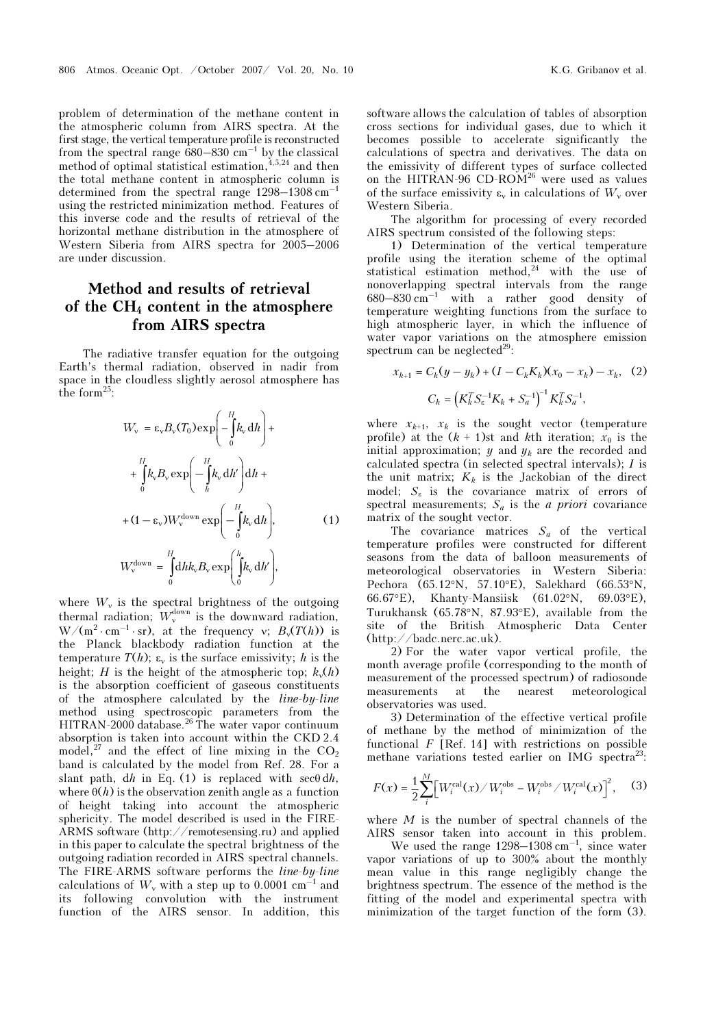problem of determination of the methane content in the atmospheric column from AIRS spectra. At the first stage, the vertical temperature profile is reconstructed from the spectral range  $\bar{6}80-830$  cm<sup>-1</sup> by the classical method of optimal statistical estimation,  $4,5,24$  and then the total methane content in atmospheric column is determined from the spectral range  $1298-1308$  cm<sup>-1</sup> using the restricted minimization method. Features of this inverse code and the results of retrieval of the horizontal methane distribution in the atmosphere of Western Siberia from AIRS spectra for 2005–2006 are under discussion.

## Method and results of retrieval of the  $CH<sub>4</sub>$  content in the atmosphere from AIRS spectra

The radiative transfer equation for the outgoing Earth's thermal radiation, observed in nadir from space in the cloudless slightly aerosol atmosphere has the form $25$ :

$$
W_{v} = \varepsilon_{v} B_{v} (T_{0}) \exp \left(-\int_{0}^{H} k_{v} dh\right) +
$$
  
+ 
$$
\int_{0}^{H} k_{v} B_{v} \exp \left(-\int_{h}^{H} k_{v} dh'\right) dh +
$$
  
+ 
$$
(1 - \varepsilon_{v}) W_{v}^{\text{down}} \exp \left(-\int_{0}^{H} k_{v} dh\right),
$$
  

$$
W_{v}^{\text{down}} = \int_{0}^{H} dh k_{v} B_{v} \exp \left(\int_{0}^{h} k_{v} dh'\right),
$$
 (1)

where  $W_{\nu}$  is the spectral brightness of the outgoing thermal radiation;  $W_v^{\text{down}}$  is the downward radiation,  $W/(m^2 \cdot cm^{-1} \cdot sr)$ , at the frequency v;  $B_v(T(h))$  is the Planck blackbody radiation function at the temperature  $T(h)$ ;  $\varepsilon_{v}$  is the surface emissivity; h is the height; H is the height of the atmospheric top;  $k_v(h)$ is the absorption coefficient of gaseous constituents of the atmosphere calculated by the line-by-line method using spectroscopic parameters from the HITRAN-2000 database.<sup>26</sup> The water vapor continuum absorption is taken into account within the CKD 2.4 model,<sup>27</sup> and the effect of line mixing in the  $CO<sub>2</sub>$ band is calculated by the model from Ref. 28. For a slant path, dh in Eq. (1) is replaced with  $\sec\theta \, dh$ , where  $\Theta(h)$  is the observation zenith angle as a function of height taking into account the atmospheric sphericity. The model described is used in the FIRE-ARMS software (http://remotesensing.ru) and applied in this paper to calculate the spectral brightness of the outgoing radiation recorded in AIRS spectral channels. The FIRE-ARMS software performs the line-by-line calculations of  $W_v$  with a step up to 0.0001 cm<sup>-1</sup> and its following convolution with the instrument function of the AIRS sensor. In addition, this

software allows the calculation of tables of absorption cross sections for individual gases, due to which it becomes possible to accelerate significantly the calculations of spectra and derivatives. The data on the emissivity of different types of surface collected on the HITRAN-96 CD-ROM<sup>26</sup> were used as values of the surface emissivity  $\varepsilon_v$  in calculations of  $W_v$  over Western Siberia.

The algorithm for processing of every recorded AIRS spectrum consisted of the following steps:

1) Determination of the vertical temperature profile using the iteration scheme of the optimal statistical estimation method, $24$  with the use of nonoverlapping spectral intervals from the range  $680-830$  cm<sup>-1</sup> with a rather good density of temperature weighting functions from the surface to high atmospheric layer, in which the influence of water vapor variations on the atmosphere emission spectrum can be neglected<sup>29</sup>:

$$
x_{k+1} = C_k(y - y_k) + (I - C_k K_k)(x_0 - x_k) - x_k, (2)
$$

$$
C_k = (K_k^T S_{\varepsilon}^{-1} K_k + S_a^{-1})^{-1} K_k^T S_a^{-1},
$$

where  $x_{k+1}$ ,  $x_k$  is the sought vector (temperature profile) at the  $(k + 1)$ st and kth iteration;  $x_0$  is the initial approximation;  $y$  and  $y_k$  are the recorded and calculated spectra (in selected spectral intervals); I is the unit matrix;  $K_k$  is the Jackobian of the direct model;  $S_{\varepsilon}$  is the covariance matrix of errors of spectral measurements;  $S_a$  is the *a priori* covariance matrix of the sought vector.

The covariance matrices  $S_a$  of the vertical temperature profiles were constructed for different seasons from the data of balloon measurements of meteorological observatories in Western Siberia: Pechora (65.12°N, 57.10°E), Salekhard (66.53°N, 66.67°E), Khanty-Mansiisk (61.02°N, 69.03°E), Turukhansk (65.78°N, 87.93°E), available from the site of the British Atmospheric Data Center (http://badc.nerc.ac.uk).

2) For the water vapor vertical profile, the month average profile (corresponding to the month of measurement of the processed spectrum) of radiosonde measurements at the nearest meteorological observatories was used.

3) Determination of the effective vertical profile of methane by the method of minimization of the functional  $F$  [Ref. 14] with restrictions on possible methane variations tested earlier on IMG spectra<sup>23</sup>:

$$
F(x) = \frac{1}{2} \sum_{i}^{M} \left[ W_i^{\text{cal}}(x) / W_i^{\text{obs}} - W_i^{\text{obs}} / W_i^{\text{cal}}(x) \right]^2, \quad (3)
$$

where  $M$  is the number of spectral channels of the AIRS sensor taken into account in this problem.

We used the range  $1298-1308$  cm<sup>-1</sup>, since water vapor variations of up to 300% about the monthly mean value in this range negligibly change the brightness spectrum. The essence of the method is the fitting of the model and experimental spectra with minimization of the target function of the form (3).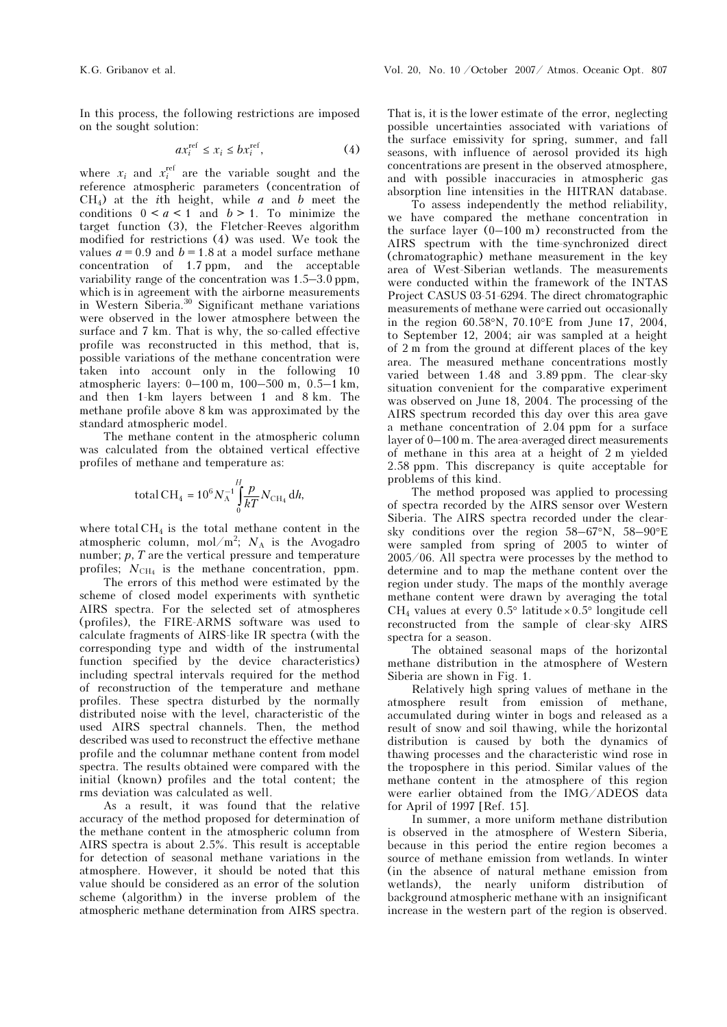In this process, the following restrictions are imposed on the sought solution:

$$
ax_i^{\text{ref}} \le x_i \le bx_i^{\text{ref}},\tag{4}
$$

where  $x_i$  and  $x_i^{\text{ref}}$  are the variable sought and the reference atmospheric parameters (concentration of  $CH<sub>4</sub>$ ) at the *i*th height, while *a* and *b* meet the conditions  $0 \le a \le 1$  and  $b > 1$ . To minimize the target function (3), the Fletcher-Reeves algorithm modified for restrictions (4) was used. We took the values  $a = 0.9$  and  $b = 1.8$  at a model surface methane concentration of 1.7 ppm, and the acceptable variability range of the concentration was 1.5–3.0 ppm, which is in agreement with the airborne measurements in Western Siberia.<sup>30</sup> Significant methane variations were observed in the lower atmosphere between the surface and 7 km. That is why, the so-called effective profile was reconstructed in this method, that is, possible variations of the methane concentration were taken into account only in the following 10 atmospheric layers: 0–100 m, 100–500 m, 0.5–1 km, and then 1-km layers between 1 and 8 km. The methane profile above 8 km was approximated by the standard atmospheric model.

The methane content in the atmospheric column was calculated from the obtained vertical effective profiles of methane and temperature as:

$$
\label{eq:totalCH4} \textrm{total\,CH_4} = 10^6 \, N_{\textrm{A}}^{-1} \int\limits_{0}^{H} \frac{p}{kT} N_{\textrm{CH}_4} \, \textrm{d}h,
$$

where total  $CH<sub>4</sub>$  is the total methane content in the atmospheric column, mol/m<sup>2</sup>;  $N_A$  is the Avogadro number;  $p$ ,  $T$  are the vertical pressure and temperature profiles;  $N_{\text{CH}_4}$  is the methane concentration, ppm.

 The errors of this method were estimated by the scheme of closed model experiments with synthetic AIRS spectra. For the selected set of atmospheres (profiles), the FIRE-ARMS software was used to calculate fragments of AIRS-like IR spectra (with the corresponding type and width of the instrumental function specified by the device characteristics) including spectral intervals required for the method of reconstruction of the temperature and methane profiles. These spectra disturbed by the normally distributed noise with the level, characteristic of the used AIRS spectral channels. Then, the method described was used to reconstruct the effective methane profile and the columnar methane content from model spectra. The results obtained were compared with the initial (known) profiles and the total content; the rms deviation was calculated as well.

As a result, it was found that the relative accuracy of the method proposed for determination of the methane content in the atmospheric column from AIRS spectra is about 2.5%. This result is acceptable for detection of seasonal methane variations in the atmosphere. However, it should be noted that this value should be considered as an error of the solution scheme (algorithm) in the inverse problem of the atmospheric methane determination from AIRS spectra.

That is, it is the lower estimate of the error, neglecting possible uncertainties associated with variations of the surface emissivity for spring, summer, and fall seasons, with influence of aerosol provided its high concentrations are present in the observed atmosphere, and with possible inaccuracies in atmospheric gas absorption line intensities in the HITRAN database.

 To assess independently the method reliability, we have compared the methane concentration in the surface layer (0–100 m) reconstructed from the AIRS spectrum with the time-synchronized direct (chromatographic) methane measurement in the key area of West-Siberian wetlands. The measurements were conducted within the framework of the INTAS Project CASUS 03-51-6294. The direct chromatographic measurements of methane were carried out occasionally in the region 60.58°N, 70.10°E from June 17, 2004, to September 12, 2004; air was sampled at a height of 2 m from the ground at different places of the key area. The measured methane concentrations mostly varied between 1.48 and 3.89 ppm. The clear-sky situation convenient for the comparative experiment was observed on June 18, 2004. The processing of the AIRS spectrum recorded this day over this area gave a methane concentration of 2.04 ppm for a surface layer of 0–100 m. The area-averaged direct measurements of methane in this area at a height of 2 m yielded 2.58 ppm. This discrepancy is quite acceptable for problems of this kind.

The method proposed was applied to processing of spectra recorded by the AIRS sensor over Western Siberia. The AIRS spectra recorded under the clearsky conditions over the region 58–67°N, 58–90°E were sampled from spring of 2005 to winter of 2005/06. All spectra were processes by the method to determine and to map the methane content over the region under study. The maps of the monthly average methane content were drawn by averaging the total  $CH_4$  values at every 0.5° latitude × 0.5° longitude cell reconstructed from the sample of clear-sky AIRS spectra for a season.

The obtained seasonal maps of the horizontal methane distribution in the atmosphere of Western Siberia are shown in Fig. 1.

Relatively high spring values of methane in the atmosphere result from emission of methane, accumulated during winter in bogs and released as a result of snow and soil thawing, while the horizontal distribution is caused by both the dynamics of thawing processes and the characteristic wind rose in the troposphere in this period. Similar values of the methane content in the atmosphere of this region were earlier obtained from the IMG/ADEOS data for April of 1997 [Ref. 15].

In summer, a more uniform methane distribution is observed in the atmosphere of Western Siberia, because in this period the entire region becomes a source of methane emission from wetlands. In winter (in the absence of natural methane emission from wetlands), the nearly uniform distribution of background atmospheric methane with an insignificant increase in the western part of the region is observed.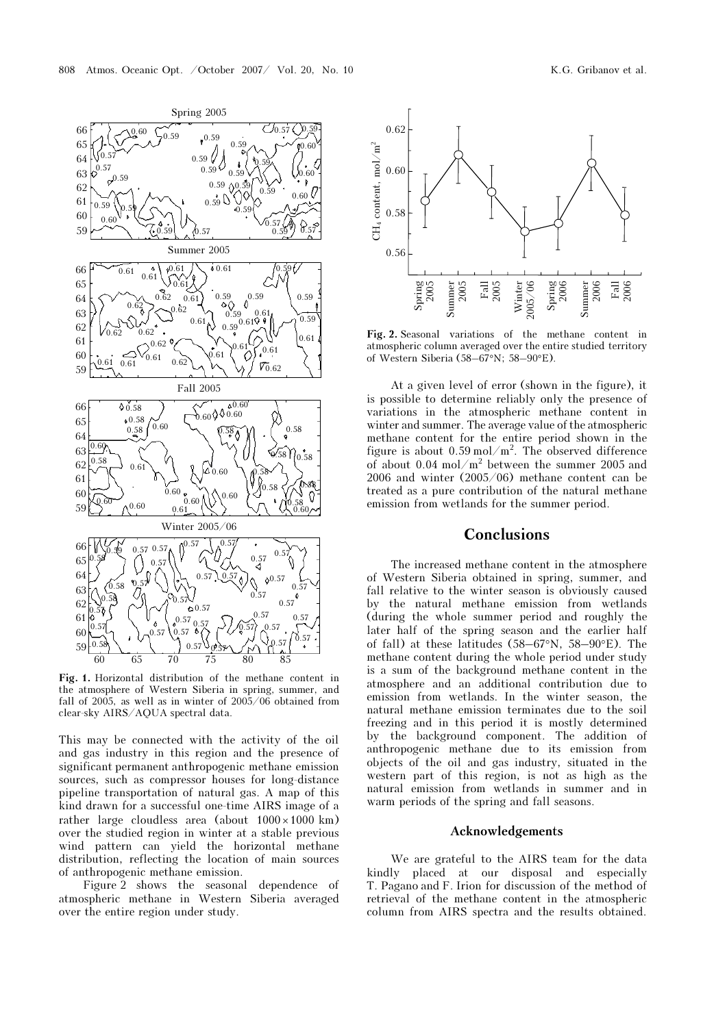

Fig. 1. Horizontal distribution of the methane content in the atmosphere of Western Siberia in spring, summer, and fall of 2005, as well as in winter of 2005/06 obtained from clear-sky AIRS/AQUA spectral data.

This may be connected with the activity of the oil and gas industry in this region and the presence of significant permanent anthropogenic methane emission sources, such as compressor houses for long-distance pipeline transportation of natural gas. A map of this kind drawn for a successful one-time AIRS image of a rather large cloudless area (about  $1000 \times 1000$  km) over the studied region in winter at a stable previous wind pattern can yield the horizontal methane distribution, reflecting the location of main sources of anthropogenic methane emission.

Figure 2 shows the seasonal dependence of atmospheric methane in Western Siberia averaged over the entire region under study.



Fig. 2. Seasonal variations of the methane content in atmospheric column averaged over the entire studied territory of Western Siberia (58–67°N; 58–90°E).

At a given level of error (shown in the figure), it is possible to determine reliably only the presence of variations in the atmospheric methane content in winter and summer. The average value of the atmospheric methane content for the entire period shown in the figure is about  $0.59 \text{ mol/m}^2$ . The observed difference of about 0.04 mol/m<sup>2</sup> between the summer 2005 and 2006 and winter (2005/06) methane content can be treated as a pure contribution of the natural methane emission from wetlands for the summer period.

## **Conclusions**

The increased methane content in the atmosphere of Western Siberia obtained in spring, summer, and fall relative to the winter season is obviously caused by the natural methane emission from wetlands (during the whole summer period and roughly the later half of the spring season and the earlier half of fall) at these latitudes (58–67°N, 58–90°E). The methane content during the whole period under study is a sum of the background methane content in the atmosphere and an additional contribution due to emission from wetlands. In the winter season, the natural methane emission terminates due to the soil freezing and in this period it is mostly determined by the background component. The addition of anthropogenic methane due to its emission from objects of the oil and gas industry, situated in the western part of this region, is not as high as the natural emission from wetlands in summer and in warm periods of the spring and fall seasons.

### Acknowledgements

We are grateful to the AIRS team for the data kindly placed at our disposal and especially T. Pagano and F. Irion for discussion of the method of retrieval of the methane content in the atmospheric column from AIRS spectra and the results obtained.